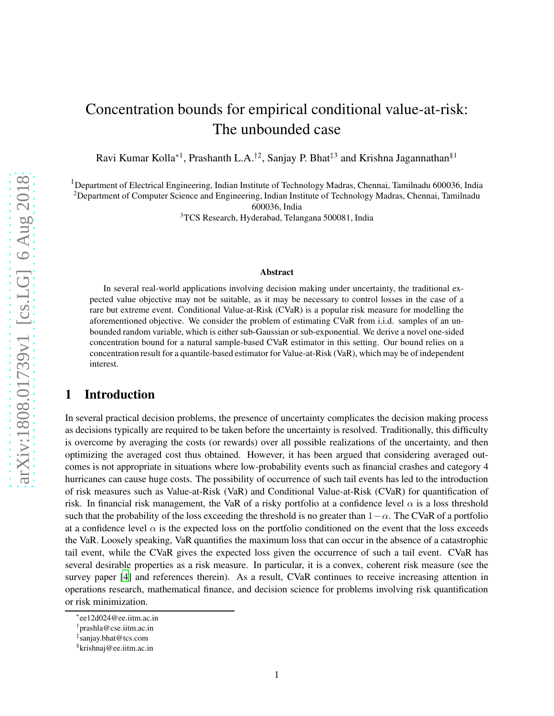# Concentration bounds for empirical conditional value-at-risk: The unbounded case

Ravi Kumar Kolla\*<sup>1</sup>, Prashanth L.A.<sup>†2</sup>, Sanjay P. Bhat<sup>‡3</sup> and Krishna Jagannathan<sup>§1</sup>

<sup>1</sup>Department of Electrical Engineering, Indian Institute of Technology Madras, Chennai, Tamilnadu 600036, India <sup>2</sup>Department of Computer Science and Engineering, Indian Institute of Technology Madras, Chennai, Tamilnadu

600036, India

<sup>3</sup>TCS Research, Hyderabad, Telangana 500081, India

#### Abstract

In several real-world applications involving decision making under uncertainty, the traditional expected value objective may not be suitable, as it may be necessary to control losses in the case of a rare but extreme event. Conditional Value-at-Risk (CVaR) is a popular risk measure for modelling the aforementioned objective. We consider the problem of estimating CVaR from i.i.d. samples of an unbounded random variable, which is either sub-Gaussian or sub-exponential. We derive a novel one-sided concentration bound for a natural sample-based CVaR estimator in this setting. Our bound relies on a concentration result for a quantile-based estimator for Value-at-Risk (VaR), which may be of independent interest.

# 1 Introduction

In several practical decision problems, the presence of uncertainty complicates the decision making process as decisions typically are required to be taken before the uncertainty is resolved. Traditionally, this difficulty is overcome by averaging the costs (or rewards) over all possible realizations of the uncertainty, and then optimizing the averaged cost thus obtained. However, it has been argued that considering averaged outcomes is not appropriate in situations where low-probability events such as financial crashes and category 4 hurricanes can cause huge costs. The possibility of occurrence of such tail events has led to the introduction of risk measures such as Value-at-Risk (VaR) and Conditional Value-at-Risk (CVaR) for quantification of risk. In financial risk management, the VaR of a risky portfolio at a confidence level  $\alpha$  is a loss threshold such that the probability of the loss exceeding the threshold is no greater than  $1-\alpha$ . The CVaR of a portfolio at a confidence level  $\alpha$  is the expected loss on the portfolio conditioned on the event that the loss exceeds the VaR. Loosely speaking, VaR quantifies the maximum loss that can occur in the absence of a catastrophic tail event, while the CVaR gives the expected loss given the occurrence of such a tail event. CVaR has several desirable properties as a risk measure. In particular, it is a convex, coherent risk measure (see the survey paper [\[4\]](#page-10-0) and references therein). As a result, CVaR continues to receive increasing attention in operations research, mathematical finance, and decision science for problems involving risk quantification or risk minimization.

<sup>∗</sup> ee12d024@ee.iitm.ac.in

<sup>†</sup> prashla@cse.iitm.ac.in

<sup>‡</sup> sanjay.bhat@tcs.com

<sup>§</sup> krishnaj@ee.iitm.ac.in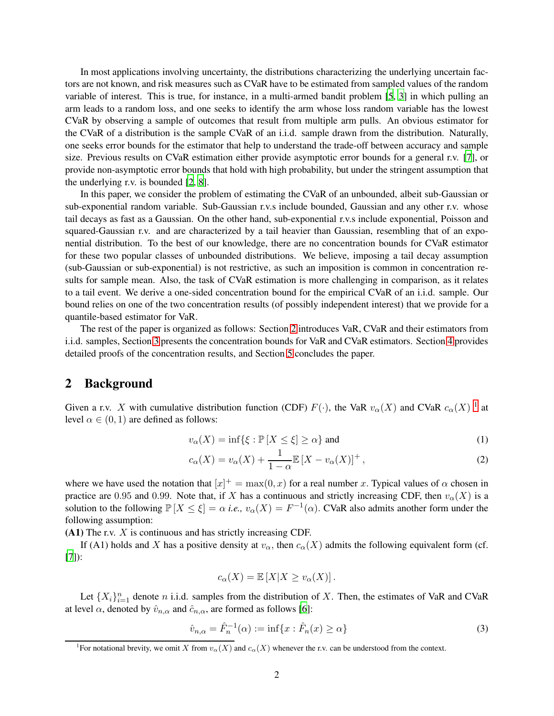In most applications involving uncertainty, the distributions characterizing the underlying uncertain factors are not known, and risk measures such as CVaR have to be estimated from sampled values of the random variable of interest. This is true, for instance, in a multi-armed bandit problem [\[5,](#page-10-1) [3](#page-10-2)] in which pulling an arm leads to a random loss, and one seeks to identify the arm whose loss random variable has the lowest CVaR by observing a sample of outcomes that result from multiple arm pulls. An obvious estimator for the CVaR of a distribution is the sample CVaR of an i.i.d. sample drawn from the distribution. Naturally, one seeks error bounds for the estimator that help to understand the trade-off between accuracy and sample size. Previous results on CVaR estimation either provide asymptotic error bounds for a general r.v. [\[7](#page-10-3)], or provide non-asymptotic error bounds that hold with high probability, but under the stringent assumption that the underlying r.v. is bounded [\[2](#page-9-0), [8\]](#page-10-4).

In this paper, we consider the problem of estimating the CVaR of an unbounded, albeit sub-Gaussian or sub-exponential random variable. Sub-Gaussian r.v.s include bounded, Gaussian and any other r.v. whose tail decays as fast as a Gaussian. On the other hand, sub-exponential r.v.s include exponential, Poisson and squared-Gaussian r.v. and are characterized by a tail heavier than Gaussian, resembling that of an exponential distribution. To the best of our knowledge, there are no concentration bounds for CVaR estimator for these two popular classes of unbounded distributions. We believe, imposing a tail decay assumption (sub-Gaussian or sub-exponential) is not restrictive, as such an imposition is common in concentration results for sample mean. Also, the task of CVaR estimation is more challenging in comparison, as it relates to a tail event. We derive a one-sided concentration bound for the empirical CVaR of an i.i.d. sample. Our bound relies on one of the two concentration results (of possibly independent interest) that we provide for a quantile-based estimator for VaR.

The rest of the paper is organized as follows: Section [2](#page-1-0) introduces VaR, CVaR and their estimators from i.i.d. samples, Section [3](#page-2-0) presents the concentration bounds for VaR and CVaR estimators. Section [4](#page-4-0) provides detailed proofs of the concentration results, and Section [5](#page-9-1) concludes the paper.

### <span id="page-1-0"></span>2 Background

Given a r.v. X with cumulative distribution function (CDF)  $F(\cdot)$ , the VaR  $v_{\alpha}(X)$  and CVaR  $c_{\alpha}(X)$ <sup>[1](#page-1-1)</sup> at level  $\alpha \in (0, 1)$  are defined as follows:

$$
v_{\alpha}(X) = \inf \{ \xi : \mathbb{P}[X \le \xi] \ge \alpha \} \text{ and } (1)
$$

$$
c_{\alpha}(X) = v_{\alpha}(X) + \frac{1}{1 - \alpha} \mathbb{E}\left[X - v_{\alpha}(X)\right]^+, \tag{2}
$$

where we have used the notation that  $[x]^+ = \max(0, x)$  for a real number x. Typical values of  $\alpha$  chosen in practice are 0.95 and 0.99. Note that, if X has a continuous and strictly increasing CDF, then  $v_{\alpha}(X)$  is a solution to the following  $\mathbb{P}[X \leq \xi] = \alpha$  *i.e.*,  $v_{\alpha}(X) = F^{-1}(\alpha)$ . CVaR also admits another form under the following assumption:

 $(A1)$  The r.v.  $X$  is continuous and has strictly increasing CDF.

If (A1) holds and X has a positive density at  $v_\alpha$ , then  $c_\alpha(X)$  admits the following equivalent form (cf. [\[7](#page-10-3)]):

<span id="page-1-2"></span>
$$
c_{\alpha}(X) = \mathbb{E}[X|X \ge v_{\alpha}(X)].
$$

Let  ${X_i}_{i=1}^n$  denote n i.i.d. samples from the distribution of X. Then, the estimates of VaR and CVaR at level  $\alpha$ , denoted by  $\hat{v}_{n,\alpha}$  and  $\hat{c}_{n,\alpha}$ , are formed as follows [\[6](#page-10-5)]:

$$
\hat{v}_{n,\alpha} = \hat{F}_n^{-1}(\alpha) := \inf\{x : \hat{F}_n(x) \ge \alpha\}
$$
\n(3)

<span id="page-1-1"></span><sup>&</sup>lt;sup>1</sup>For notational brevity, we omit X from  $v_\alpha(X)$  and  $c_\alpha(X)$  whenever the r.v. can be understood from the context.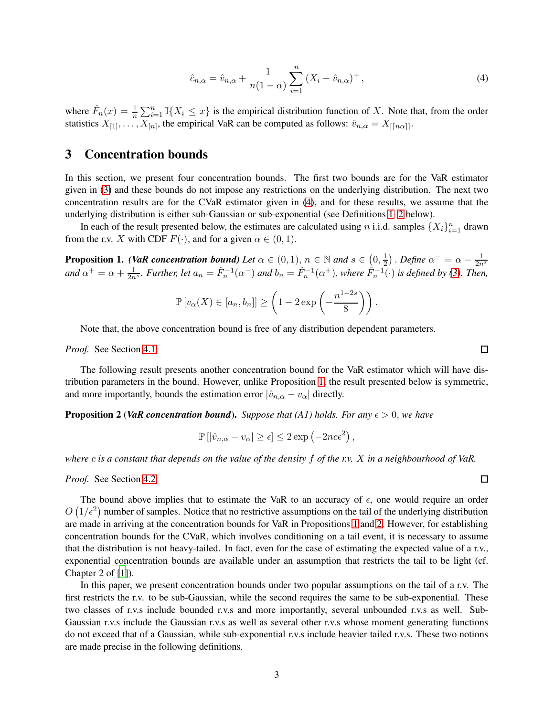<span id="page-2-1"></span>
$$
\hat{c}_{n,\alpha} = \hat{v}_{n,\alpha} + \frac{1}{n(1-\alpha)} \sum_{i=1}^{n} (X_i - \hat{v}_{n,\alpha})^+, \tag{4}
$$

where  $\hat{F}_n(x) = \frac{1}{n} \sum_{i=1}^n \mathbb{I}\{X_i \leq x\}$  is the empirical distribution function of X. Note that, from the order statistics  $X_{[1]}, \ldots, X_{[n]}$ , the empirical VaR can be computed as follows:  $\hat{v}_{n,\alpha} = X_{\lfloor n\alpha \rfloor}$ .

# <span id="page-2-0"></span>3 Concentration bounds

In this section, we present four concentration bounds. The first two bounds are for the VaR estimator given in [\(3\)](#page-1-2) and these bounds do not impose any restrictions on the underlying distribution. The next two concentration results are for the CVaR estimator given in [\(4\)](#page-2-1), and for these results, we assume that the underlying distribution is either sub-Gaussian or sub-exponential (see Definitions [1](#page-3-0)[–2](#page-3-1) below).

In each of the result presented below, the estimates are calculated using *n* i.i.d. samples  $\{X_i\}_{i=1}^n$  drawn from the r.v. X with CDF  $F(\cdot)$ , and for a given  $\alpha \in (0,1)$ .

<span id="page-2-2"></span>**Proposition 1.** *(VaR concentration bound) Let*  $\alpha \in (0,1)$ ,  $n \in \mathbb{N}$  *and*  $s \in (0,\frac{1}{2})$  $(\frac{1}{2})$  . Define  $\alpha^- = \alpha - \frac{1}{2n^s}$ and  $\alpha^+ = \alpha + \frac{1}{2n^s}$ *. Further, let*  $a_n = \hat{F}_n^{-1}(\alpha^-)$  and  $b_n = \hat{F}_n^{-1}(\alpha^+)$ *, where*  $\hat{F}_n^{-1}(\cdot)$  *is defined by* [\(3\)](#page-1-2)*. Then,* 

$$
\mathbb{P}\left[v_{\alpha}(X) \in [a_n, b_n]\right] \ge \left(1 - 2\exp\left(-\frac{n^{1-2s}}{8}\right)\right).
$$

Note that, the above concentration bound is free of any distribution dependent parameters.

*Proof.* See Section [4.1.](#page-4-1)

The following result presents another concentration bound for the VaR estimator which will have distribution parameters in the bound. However, unlike Proposition [1,](#page-2-2) the result presented below is symmetric, and more importantly, bounds the estimation error  $|\hat{v}_{n,\alpha} - v_{\alpha}|$  directly.

<span id="page-2-3"></span>**Proposition 2 (VaR concentration bound).** Suppose that (A1) holds. For any  $\epsilon > 0$ , we have

$$
\mathbb{P}\left[|\hat{v}_{n,\alpha}-v_{\alpha}|\geq\epsilon\right]\leq 2\exp\left(-2nc\epsilon^{2}\right),
$$

*where* c *is a constant that depends on the value of the density* f *of the r.v.* X *in a neighbourhood of VaR.*

*Proof.* See Section [4.2.](#page-4-2)

The bound above implies that to estimate the VaR to an accuracy of  $\epsilon$ , one would require an order  $O(1/\epsilon^2)$  number of samples. Notice that no restrictive assumptions on the tail of the underlying distribution are made in arriving at the concentration bounds for VaR in Propositions [1](#page-2-2) and [2.](#page-2-3) However, for establishing concentration bounds for the CVaR, which involves conditioning on a tail event, it is necessary to assume that the distribution is not heavy-tailed. In fact, even for the case of estimating the expected value of a r.v., exponential concentration bounds are available under an assumption that restricts the tail to be light (cf. Chapter 2 of [\[1](#page-9-2)]).

In this paper, we present concentration bounds under two popular assumptions on the tail of a r.v. The first restricts the r.v. to be sub-Gaussian, while the second requires the same to be sub-exponential. These two classes of r.v.s include bounded r.v.s and more importantly, several unbounded r.v.s as well. Sub-Gaussian r.v.s include the Gaussian r.v.s as well as several other r.v.s whose moment generating functions do not exceed that of a Gaussian, while sub-exponential r.v.s include heavier tailed r.v.s. These two notions are made precise in the following definitions.

 $\Box$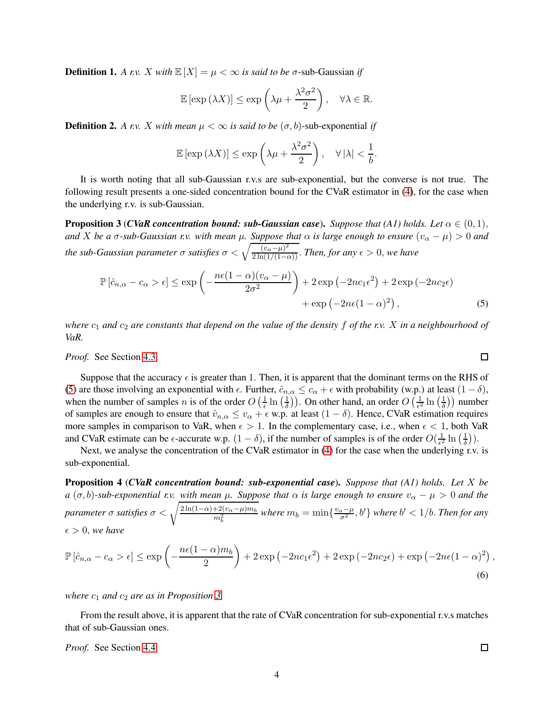<span id="page-3-0"></span>**Definition 1.** A r.v. X with  $\mathbb{E}[X] = \mu < \infty$  is said to be  $\sigma$ -sub-Gaussian if

$$
\mathbb{E}\left[\exp\left(\lambda X\right)\right] \leq \exp\left(\lambda \mu + \frac{\lambda^2 \sigma^2}{2}\right), \quad \forall \lambda \in \mathbb{R}.
$$

<span id="page-3-1"></span>**Definition 2.** A r.v. X with mean  $\mu < \infty$  is said to be  $(\sigma, b)$ -sub-exponential if

$$
\mathbb{E}\left[\exp\left(\lambda X\right)\right] \leq \exp\left(\lambda \mu + \frac{\lambda^2 \sigma^2}{2}\right), \quad \forall \left|\lambda\right| < \frac{1}{b}.
$$

It is worth noting that all sub-Gaussian r.v.s are sub-exponential, but the converse is not true. The following result presents a one-sided concentration bound for the CVaR estimator in [\(4\)](#page-2-1), for the case when the underlying r.v. is sub-Gaussian.

<span id="page-3-3"></span>**Proposition 3 (***CVaR concentration bound: sub-Gaussian case***).** *Suppose that (A1) holds. Let*  $\alpha \in (0,1)$ , *and* X *be a*  $\sigma$ -sub-Gaussian r.v. with mean  $\mu$ . Suppose that  $\alpha$  is large enough to ensure  $(v_{\alpha} - \mu) > 0$  and *the sub-Gaussian parameter*  $\sigma$  *satisfies*  $\sigma < \sqrt{\frac{(v_{\alpha} - \mu)^2}{2 \ln(1/(1-\alpha))}}$ . *Then, for any*  $\epsilon > 0$ *, we have* 

$$
\mathbb{P}\left[\hat{c}_{n,\alpha} - c_{\alpha} > \epsilon\right] \le \exp\left(-\frac{n\epsilon(1-\alpha)(v_{\alpha} - \mu)}{2\sigma^2}\right) + 2\exp\left(-2nc_1\epsilon^2\right) + 2\exp\left(-2nc_2\epsilon\right) + \exp\left(-2n\epsilon(1-\alpha)^2\right),\tag{5}
$$

*where*  $c_1$  *and*  $c_2$  *are constants that depend on the value of the density*  $f$  *of the r.v.*  $X$  *in a neighbourhood of VaR.*

*Proof.* See Section [4.3.](#page-5-0)

Suppose that the accuracy  $\epsilon$  is greater than 1. Then, it is apparent that the dominant terms on the RHS of [\(5\)](#page-3-2) are those involving an exponential with  $\epsilon$ . Further,  $\hat{c}_{n,\alpha} \leq c_\alpha + \epsilon$  with probability (w.p.) at least  $(1 - \delta)$ , when the number of samples *n* is of the order  $O\left(\frac{1}{\epsilon}\right)$  $\frac{1}{\epsilon}\ln\left(\frac{1}{\delta}\right)$  $\left(\frac{1}{\delta}\right)$ ). On other hand, an order  $O\left(\frac{1}{\epsilon^2}\right)$  $\frac{1}{\epsilon^2}\ln\left(\frac{1}{\delta}\right)$  $\frac{1}{\delta}$ ) number of samples are enough to ensure that  $\hat{v}_{n,\alpha} \le v_\alpha + \epsilon$  w.p. at least  $(1 - \delta)$ . Hence, CVaR estimation requires more samples in comparison to VaR, when  $\epsilon > 1$ . In the complementary case, i.e., when  $\epsilon < 1$ , both VaR and CVaR estimate can be  $\epsilon$ -accurate w.p.  $(1 - \delta)$ , if the number of samples is of the order  $O(\frac{1}{\epsilon^2})$  $\frac{1}{\epsilon^2}\ln\left(\frac{1}{\delta}\right)$  $\frac{1}{\delta}$ )).

Next, we analyse the concentration of the CVaR estimator in [\(4\)](#page-2-1) for the case when the underlying r.v. is sub-exponential.

<span id="page-3-4"></span>Proposition 4 (*CVaR concentration bound: sub-exponential case*). *Suppose that (A1) holds. Let* X *be*  $a(\sigma, b)$ -sub-exponential r.v. with mean  $\mu$ . Suppose that  $\alpha$  is large enough to ensure  $v_{\alpha} - \mu > 0$  and the *parameter*  $\sigma$  *satisfies*  $\sigma < \sqrt{\frac{2\ln(1-\alpha)+2(v_\alpha-\mu)m_b}{m_b^2}}$  *where*  $m_b = \min\{\frac{v_\alpha-\mu}{\sigma^2},b'\}$  *where*  $b' < 1/b$ . *Then for any*  $\epsilon > 0$ , we have

$$
\mathbb{P}\left[\hat{c}_{n,\alpha} - c_{\alpha} > \epsilon\right] \le \exp\left(-\frac{n\epsilon(1-\alpha)m_b}{2}\right) + 2\exp\left(-2nc_1\epsilon^2\right) + 2\exp\left(-2nc_2\epsilon\right) + \exp\left(-2n\epsilon(1-\alpha)^2\right),\tag{6}
$$

*where*  $c_1$  *and*  $c_2$  *are as in Proposition [3.](#page-3-3)* 

From the result above, it is apparent that the rate of CVaR concentration for sub-exponential r.v.s matches that of sub-Gaussian ones.

*Proof.* See Section [4.4.](#page-8-0)

<span id="page-3-2"></span>
$$
\Box
$$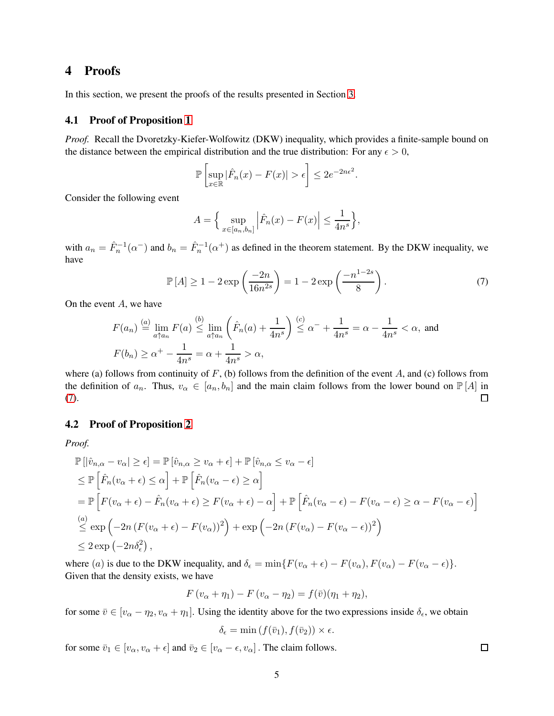# <span id="page-4-0"></span>4 Proofs

<span id="page-4-1"></span>In this section, we present the proofs of the results presented in Section [3.](#page-2-0)

### 4.1 Proof of Proposition [1](#page-2-2)

*Proof.* Recall the Dvoretzky-Kiefer-Wolfowitz (DKW) inequality, which provides a finite-sample bound on the distance between the empirical distribution and the true distribution: For any  $\epsilon > 0$ ,

$$
\mathbb{P}\left[\sup_{x\in\mathbb{R}}|\hat{F}_n(x)-F(x)|>\epsilon\right]\leq 2e^{-2n\epsilon^2}.
$$

Consider the following event

<span id="page-4-3"></span>
$$
A = \left\{ \sup_{x \in [a_n, b_n]} \left| \hat{F}_n(x) - F(x) \right| \le \frac{1}{4n^s} \right\},\
$$

with  $a_n = \hat{F}_n^{-1}(\alpha^-)$  and  $b_n = \hat{F}_n^{-1}(\alpha^+)$  as defined in the theorem statement. By the DKW inequality, we have

$$
\mathbb{P}[A] \ge 1 - 2 \exp\left(\frac{-2n}{16n^{2s}}\right) = 1 - 2 \exp\left(\frac{-n^{1-2s}}{8}\right). \tag{7}
$$

On the event  $A$ , we have

$$
F(a_n) \stackrel{(a)}{=} \lim_{a \uparrow a_n} F(a) \stackrel{(b)}{\leq} \lim_{a \uparrow a_n} \left( \hat{F}_n(a) + \frac{1}{4n^s} \right) \stackrel{(c)}{\leq} \alpha^- + \frac{1}{4n^s} = \alpha - \frac{1}{4n^s} < \alpha, \text{ and}
$$

$$
F(b_n) \geq \alpha^+ - \frac{1}{4n^s} = \alpha + \frac{1}{4n^s} > \alpha,
$$

where (a) follows from continuity of  $F$ , (b) follows from the definition of the event A, and (c) follows from the definition of  $a_n$ . Thus,  $v_\alpha \in [a_n, b_n]$  and the main claim follows from the lower bound on  $\mathbb{P}[A]$  in  $\Box$ [\(7\)](#page-4-3).

#### <span id="page-4-2"></span>4.2 Proof of Proposition [2](#page-2-3)

*Proof.*

$$
\mathbb{P}\left[\left|\hat{v}_{n,\alpha} - v_{\alpha}\right| \geq \epsilon\right] = \mathbb{P}\left[\hat{v}_{n,\alpha} \geq v_{\alpha} + \epsilon\right] + \mathbb{P}\left[\hat{v}_{n,\alpha} \leq v_{\alpha} - \epsilon\right]
$$
\n
$$
\leq \mathbb{P}\left[\hat{F}_{n}(v_{\alpha} + \epsilon) \leq \alpha\right] + \mathbb{P}\left[\hat{F}_{n}(v_{\alpha} - \epsilon) \geq \alpha\right]
$$
\n
$$
= \mathbb{P}\left[F(v_{\alpha} + \epsilon) - \hat{F}_{n}(v_{\alpha} + \epsilon) \geq F(v_{\alpha} + \epsilon) - \alpha\right] + \mathbb{P}\left[\hat{F}_{n}(v_{\alpha} - \epsilon) - F(v_{\alpha} - \epsilon) \geq \alpha - F(v_{\alpha} - \epsilon)\right]
$$
\n
$$
\stackrel{(a)}{\leq} \exp\left(-2n\left(F(v_{\alpha} + \epsilon) - F(v_{\alpha})\right)^{2}\right) + \exp\left(-2n\left(F(v_{\alpha}) - F(v_{\alpha} - \epsilon)\right)^{2}\right)
$$
\n
$$
\leq 2\exp\left(-2n\delta_{\epsilon}^{2}\right),
$$

where (a) is due to the DKW inequality, and  $\delta_{\epsilon} = \min\{F(v_{\alpha} + \epsilon) - F(v_{\alpha}), F(v_{\alpha}) - F(v_{\alpha} - \epsilon)\}.$ Given that the density exists, we have

$$
F(v_{\alpha}+\eta_1)-F(v_{\alpha}-\eta_2)=f(\bar{v})(\eta_1+\eta_2),
$$

for some  $\bar{v} \in [v_{\alpha} - \eta_2, v_{\alpha} + \eta_1]$ . Using the identity above for the two expressions inside  $\delta_{\epsilon}$ , we obtain

$$
\delta_{\epsilon} = \min(f(\bar{v}_1), f(\bar{v}_2)) \times \epsilon.
$$

for some  $\bar{v}_1 \in [v_\alpha, v_\alpha + \epsilon]$  and  $\bar{v}_2 \in [v_\alpha - \epsilon, v_\alpha]$ . The claim follows.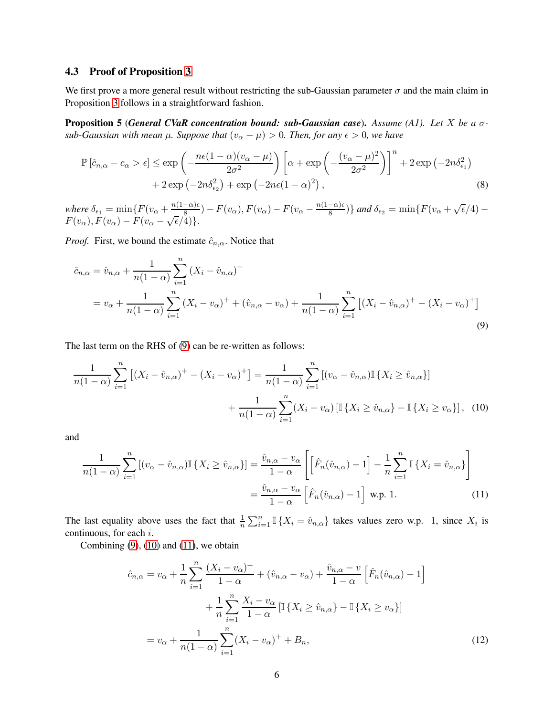### <span id="page-5-0"></span>4.3 Proof of Proposition [3](#page-3-3)

We first prove a more general result without restricting the sub-Gaussian parameter  $\sigma$  and the main claim in Proposition [3](#page-3-3) follows in a straightforward fashion.

<span id="page-5-5"></span>Proposition 5 (*General CVaR concentration bound: sub-Gaussian case*). *Assume (A1). Let* X *be a* σ*sub-Gaussian with mean*  $\mu$ *. Suppose that*  $(v_{\alpha} - \mu) > 0$ *. Then, for any*  $\epsilon > 0$ *, we have* 

$$
\mathbb{P}\left[\hat{c}_{n,\alpha} - c_{\alpha} > \epsilon\right] \le \exp\left(-\frac{n\epsilon(1-\alpha)(v_{\alpha} - \mu)}{2\sigma^2}\right) \left[\alpha + \exp\left(-\frac{(v_{\alpha} - \mu)^2}{2\sigma^2}\right)\right]^n + 2\exp\left(-2n\delta_{\epsilon_1}^2\right) + 2\exp\left(-2n\delta_{\epsilon_2}^2\right) + \exp\left(-2n\epsilon(1-\alpha)^2\right),\tag{8}
$$

 $where \delta_{\epsilon_1} = \min\{F(v_\alpha + \frac{n(1-\alpha)\epsilon}{8}) - F(v_\alpha), F(v_\alpha) - F(v_\alpha - \frac{n(1-\alpha)\epsilon}{8})\}$  and  $\delta_{\epsilon_2} = \min\{F(v_\alpha + \sqrt{\epsilon}/4) - F(v_\alpha)\}$  $F(v_\alpha), F(v_\alpha) - F(v_\alpha - \sqrt{\epsilon}/4).$ 

*Proof.* First, we bound the estimate  $\hat{c}_{n,\alpha}$ . Notice that

<span id="page-5-1"></span>
$$
\hat{c}_{n,\alpha} = \hat{v}_{n,\alpha} + \frac{1}{n(1-\alpha)} \sum_{i=1}^{n} (X_i - \hat{v}_{n,\alpha})^+
$$
  
=  $v_{\alpha} + \frac{1}{n(1-\alpha)} \sum_{i=1}^{n} (X_i - v_{\alpha})^+ + (\hat{v}_{n,\alpha} - v_{\alpha}) + \frac{1}{n(1-\alpha)} \sum_{i=1}^{n} [(X_i - \hat{v}_{n,\alpha})^+ - (X_i - v_{\alpha})^+]$  (9)

The last term on the RHS of [\(9\)](#page-5-1) can be re-written as follows:

$$
\frac{1}{n(1-\alpha)}\sum_{i=1}^{n} \left[ (X_i - \hat{v}_{n,\alpha})^+ - (X_i - v_{\alpha})^+ \right] = \frac{1}{n(1-\alpha)}\sum_{i=1}^{n} \left[ (v_{\alpha} - \hat{v}_{n,\alpha}) \mathbb{I} \{ X_i \ge \hat{v}_{n,\alpha} \} \right] + \frac{1}{n(1-\alpha)}\sum_{i=1}^{n} (X_i - v_{\alpha}) \left[ \mathbb{I} \{ X_i \ge \hat{v}_{n,\alpha} \} - \mathbb{I} \{ X_i \ge v_{\alpha} \} \right],
$$
(10)

and

$$
\frac{1}{n(1-\alpha)}\sum_{i=1}^{n} \left[ (v_{\alpha} - \hat{v}_{n,\alpha}) \mathbb{I}\left\{X_i \ge \hat{v}_{n,\alpha}\right\} \right] = \frac{\hat{v}_{n,\alpha} - v_{\alpha}}{1-\alpha} \left[ \left[ \hat{F}_n(\hat{v}_{n,\alpha}) - 1 \right] - \frac{1}{n} \sum_{i=1}^{n} \mathbb{I}\left\{X_i = \hat{v}_{n,\alpha}\right\} \right]
$$

$$
= \frac{\hat{v}_{n,\alpha} - v_{\alpha}}{1-\alpha} \left[ \hat{F}_n(\hat{v}_{n,\alpha}) - 1 \right] \text{ w.p. 1.}
$$
(11)

The last equality above uses the fact that  $\frac{1}{n} \sum_{i=1}^{n} \mathbb{I} \{X_i = \hat{v}_{n,\alpha}\}\$  takes values zero w.p. 1, since  $X_i$  is continuous, for each i.

Combining  $(9)$ ,  $(10)$  and  $(11)$ , we obtain

<span id="page-5-4"></span><span id="page-5-3"></span><span id="page-5-2"></span>
$$
\hat{c}_{n,\alpha} = v_{\alpha} + \frac{1}{n} \sum_{i=1}^{n} \frac{(X_i - v_{\alpha})^+}{1 - \alpha} + (\hat{v}_{n,\alpha} - v_{\alpha}) + \frac{\hat{v}_{n,\alpha} - v}{1 - \alpha} \left[ \hat{F}_n(\hat{v}_{n,\alpha}) - 1 \right] \n+ \frac{1}{n} \sum_{i=1}^{n} \frac{X_i - v_{\alpha}}{1 - \alpha} \left[ \mathbb{I} \{ X_i \ge \hat{v}_{n,\alpha} \} - \mathbb{I} \{ X_i \ge v_{\alpha} \} \right] \n= v_{\alpha} + \frac{1}{n(1 - \alpha)} \sum_{i=1}^{n} (X_i - v_{\alpha})^+ + B_n,
$$
\n(12)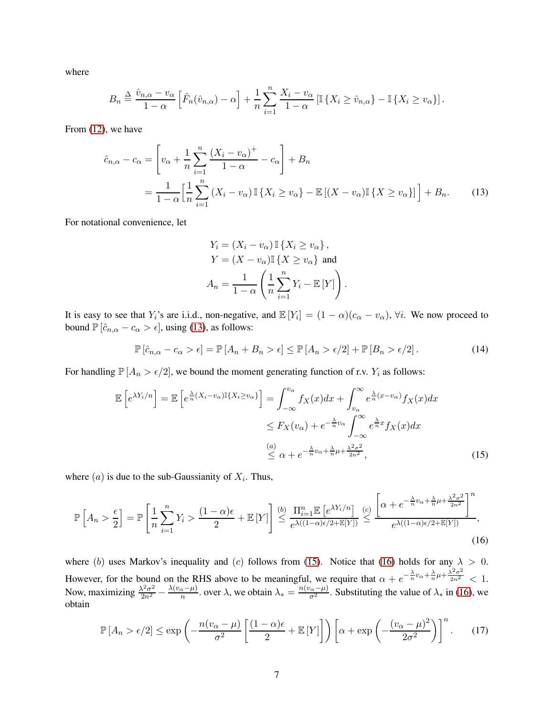where

$$
B_n \stackrel{\Delta}{=} \frac{\hat{v}_{n,\alpha} - v_\alpha}{1 - \alpha} \left[ \hat{F}_n(\hat{v}_{n,\alpha}) - \alpha \right] + \frac{1}{n} \sum_{i=1}^n \frac{X_i - v_\alpha}{1 - \alpha} \left[ \mathbb{I} \left\{ X_i \ge \hat{v}_{n,\alpha} \right\} - \mathbb{I} \left\{ X_i \ge v_\alpha \right\} \right].
$$

From [\(12\)](#page-5-4), we have

$$
\hat{c}_{n,\alpha} - c_{\alpha} = \left[ v_{\alpha} + \frac{1}{n} \sum_{i=1}^{n} \frac{(X_i - v_{\alpha})^+}{1 - \alpha} - c_{\alpha} \right] + B_n
$$

$$
= \frac{1}{1 - \alpha} \left[ \frac{1}{n} \sum_{i=1}^{n} (X_i - v_{\alpha}) \mathbb{I} \{ X_i \ge v_{\alpha} \} - \mathbb{E} \left[ (X - v_{\alpha}) \mathbb{I} \{ X \ge v_{\alpha} \} \right] \right] + B_n.
$$
(13)

For notational convenience, let

<span id="page-6-3"></span><span id="page-6-1"></span><span id="page-6-0"></span>
$$
Y_i = (X_i - v_\alpha) \mathbb{I} \{ X_i \ge v_\alpha \},
$$
  
\n
$$
Y = (X - v_\alpha) \mathbb{I} \{ X \ge v_\alpha \} \text{ and}
$$
  
\n
$$
A_n = \frac{1}{1 - \alpha} \left( \frac{1}{n} \sum_{i=1}^n Y_i - \mathbb{E} [Y] \right).
$$

It is easy to see that  $Y_i$ 's are i.i.d., non-negative, and  $\mathbb{E}[Y_i] = (1 - \alpha)(c_\alpha - v_\alpha)$ ,  $\forall i$ . We now proceed to bound  $\mathbb{P} \left[ \hat{c}_{n,\alpha} - c_{\alpha} > \epsilon \right]$ , using [\(13\)](#page-6-0), as follows:

$$
\mathbb{P}\left[\hat{c}_{n,\alpha} - c_{\alpha} > \epsilon\right] = \mathbb{P}\left[A_n + B_n > \epsilon\right] \le \mathbb{P}\left[A_n > \epsilon/2\right] + \mathbb{P}\left[B_n > \epsilon/2\right].\tag{14}
$$

For handling  $\mathbb{P}[A_n > \epsilon/2]$ , we bound the moment generating function of r.v.  $Y_i$  as follows:

$$
\mathbb{E}\left[e^{\lambda Y_i/n}\right] = \mathbb{E}\left[e^{\frac{\lambda}{n}(X_i - v_{\alpha})\mathbb{I}\{X_i \ge v_{\alpha}\}}\right] = \int_{-\infty}^{v_{\alpha}} f_X(x)dx + \int_{v_{\alpha}}^{\infty} e^{\frac{\lambda}{n}(x - v_{\alpha})} f_X(x)dx
$$

$$
\le F_X(v_{\alpha}) + e^{-\frac{\lambda}{n}v_{\alpha}} \int_{-\infty}^{\infty} e^{\frac{\lambda}{n}x} f_X(x)dx
$$

$$
\overset{(a)}{\le \alpha + e^{-\frac{\lambda}{n}v_{\alpha} + \frac{\lambda}{n}\mu + \frac{\lambda^2 \sigma^2}{2n^2}}},
$$
(15)

where  $(a)$  is due to the sub-Gaussianity of  $X_i$ . Thus,

$$
\mathbb{P}\left[A_n > \frac{\epsilon}{2}\right] = \mathbb{P}\left[\frac{1}{n}\sum_{i=1}^n Y_i > \frac{(1-\alpha)\epsilon}{2} + \mathbb{E}\left[Y\right]\right] \stackrel{(b)}{\leq} \frac{\prod_{i=1}^n \mathbb{E}\left[e^{\lambda Y_i/n}\right]}{e^{\lambda((1-\alpha)\epsilon/2 + \mathbb{E}\left[Y\right])}} \stackrel{(c)}{\leq} \frac{\left[\alpha + e^{-\frac{\lambda}{n}\nu_\alpha + \frac{\lambda}{n}\mu + \frac{\lambda^2 \sigma^2}{2n^2}}\right]^n}{e^{\lambda((1-\alpha)\epsilon/2 + \mathbb{E}\left[Y\right])}},\tag{16}
$$

where (b) uses Markov's inequality and (c) follows from [\(15\)](#page-6-1). Notice that [\(16\)](#page-6-2) holds for any  $\lambda > 0$ . However, for the bound on the RHS above to be meaningful, we require that  $\alpha + e^{-\frac{\lambda}{n}v_{\alpha} + \frac{\lambda}{n}\mu + \frac{\lambda^2\sigma^2}{2n^2}}$  $\frac{1}{2n^2} < 1$ . Now, maximizing  $\frac{\lambda^2 \sigma^2}{2n^2}$  $\frac{\lambda^2 \sigma^2}{2n^2} - \frac{\lambda (v_\alpha - \mu)}{n}$  over  $\lambda$ , we obtain  $\lambda_* = \frac{n(v_\alpha - \mu)}{\sigma^2}$ . Substituting the value of  $\lambda_*$  in [\(16\)](#page-6-2), we obtain

<span id="page-6-4"></span><span id="page-6-2"></span>
$$
\mathbb{P}\left[A_n > \epsilon/2\right] \le \exp\left(-\frac{n(v_\alpha - \mu)}{\sigma^2} \left[\frac{(1-\alpha)\epsilon}{2} + \mathbb{E}\left[Y\right]\right]\right) \left[\alpha + \exp\left(-\frac{(v_\alpha - \mu)^2}{2\sigma^2}\right)\right]^n. \tag{17}
$$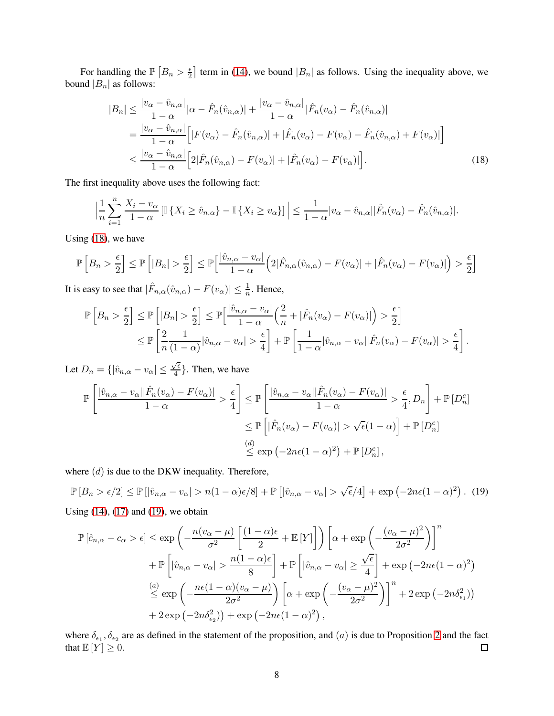For handling the  $\mathbb{P}\left[B_n > \frac{\epsilon}{2}\right]$  term in [\(14\)](#page-6-3), we bound  $|B_n|$  as follows. Using the inequality above, we bound  $|B_n|$  as follows:

<span id="page-7-0"></span>
$$
|B_n| \leq \frac{|v_{\alpha} - \hat{v}_{n,\alpha}|}{1 - \alpha} |\alpha - \hat{F}_n(\hat{v}_{n,\alpha})| + \frac{|v_{\alpha} - \hat{v}_{n,\alpha}|}{1 - \alpha} |\hat{F}_n(v_{\alpha}) - \hat{F}_n(\hat{v}_{n,\alpha})|
$$
  
\n
$$
= \frac{|v_{\alpha} - \hat{v}_{n,\alpha}|}{1 - \alpha} \Big[ |F(v_{\alpha}) - \hat{F}_n(\hat{v}_{n,\alpha})| + |\hat{F}_n(v_{\alpha}) - F(v_{\alpha}) - \hat{F}_n(\hat{v}_{n,\alpha}) + F(v_{\alpha})| \Big]
$$
  
\n
$$
\leq \frac{|v_{\alpha} - \hat{v}_{n,\alpha}|}{1 - \alpha} \Big[ 2|\hat{F}_n(\hat{v}_{n,\alpha}) - F(v_{\alpha})| + |\hat{F}_n(v_{\alpha}) - F(v_{\alpha})| \Big].
$$
 (18)

The first inequality above uses the following fact:

$$
\left|\frac{1}{n}\sum_{i=1}^n \frac{X_i - v_\alpha}{1 - \alpha} \left[\mathbb{I}\left\{X_i \ge \hat{v}_{n,\alpha}\right\} - \mathbb{I}\left\{X_i \ge v_\alpha\right\}\right]\right| \le \frac{1}{1 - \alpha} |v_\alpha - \hat{v}_{n,\alpha}||\hat{F}_n(v_\alpha) - \hat{F}_n(\hat{v}_{n,\alpha})|.
$$

Using [\(18\)](#page-7-0), we have

$$
\mathbb{P}\left[B_n > \frac{\epsilon}{2}\right] \le \mathbb{P}\left[|B_n| > \frac{\epsilon}{2}\right] \le \mathbb{P}\left[\frac{|\hat{v}_{n,\alpha} - v_{\alpha}|}{1 - \alpha}\left(2|\hat{F}_{n,\alpha}(\hat{v}_{n,\alpha}) - F(v_{\alpha})| + |\hat{F}_n(v_{\alpha}) - F(v_{\alpha})|\right) > \frac{\epsilon}{2}\right]
$$

It is easy to see that  $|\hat{F}_{n,\alpha}(\hat{v}_{n,\alpha}) - F(v_\alpha)| \leq \frac{1}{n}$ . Hence,

$$
\mathbb{P}\left[B_n > \frac{\epsilon}{2}\right] \le \mathbb{P}\left[|B_n| > \frac{\epsilon}{2}\right] \le \mathbb{P}\left[\frac{|\hat{v}_{n,\alpha} - v_{\alpha}|}{1 - \alpha}\left(\frac{2}{n} + |\hat{F}_n(v_{\alpha}) - F(v_{\alpha})|\right) > \frac{\epsilon}{2}\right]
$$
  

$$
\le \mathbb{P}\left[\frac{2}{n}\frac{1}{(1 - \alpha)}|\hat{v}_{n,\alpha} - v_{\alpha}| > \frac{\epsilon}{4}\right] + \mathbb{P}\left[\frac{1}{1 - \alpha}|\hat{v}_{n,\alpha} - v_{\alpha}||\hat{F}_n(v_{\alpha}) - F(v_{\alpha})| > \frac{\epsilon}{4}\right].
$$

Let  $D_n = \{ |\hat{v}_{n,\alpha} - v_\alpha| \leq \frac{\sqrt{\epsilon}}{4}$  $\left\{\frac{\ell}{4}\right\}$ . Then, we have

$$
\mathbb{P}\left[\frac{|\hat{v}_{n,\alpha} - v_{\alpha}||\hat{F}_n(v_{\alpha}) - F(v_{\alpha})|}{1 - \alpha} > \frac{\epsilon}{4}\right] \leq \mathbb{P}\left[\frac{|\hat{v}_{n,\alpha} - v_{\alpha}||\hat{F}_n(v_{\alpha}) - F(v_{\alpha})|}{1 - \alpha} > \frac{\epsilon}{4}, D_n\right] + \mathbb{P}\left[D_n^c\right]
$$

$$
\leq \mathbb{P}\left[|\hat{F}_n(v_{\alpha}) - F(v_{\alpha})| > \sqrt{\epsilon}(1 - \alpha)\right] + \mathbb{P}\left[D_n^c\right]
$$

$$
\leq \exp\left(-2n\epsilon(1 - \alpha)^2\right) + \mathbb{P}\left[D_n^c\right],
$$

where  $(d)$  is due to the DKW inequality. Therefore,

 $\mathbb{P}[B_n > \epsilon/2] \le \mathbb{P}[\hat{v}_{n,\alpha} - v_\alpha] > n(1-\alpha)\epsilon/8] + \mathbb{P}[\hat{v}_{n,\alpha} - v_\alpha] > \sqrt{\epsilon}/4] + \exp(-2n\epsilon(1-\alpha)^2).$  (19)

Using  $(14)$ ,  $(17)$  and  $(19)$ , we obtain

<span id="page-7-1"></span>
$$
\mathbb{P}\left[\hat{c}_{n,\alpha} - c_{\alpha} > \epsilon\right] \leq \exp\left(-\frac{n(v_{\alpha} - \mu)}{\sigma^{2}} \left[\frac{(1 - \alpha)\epsilon}{2} + \mathbb{E}\left[Y\right]\right]\right) \left[\alpha + \exp\left(-\frac{(v_{\alpha} - \mu)^{2}}{2\sigma^{2}}\right)\right]^{n} + \mathbb{P}\left[\left|\hat{v}_{n,\alpha} - v_{\alpha}\right| > \frac{n(1 - \alpha)\epsilon}{8}\right] + \mathbb{P}\left[\left|\hat{v}_{n,\alpha} - v_{\alpha}\right| \geq \frac{\sqrt{\epsilon}}{4}\right] + \exp\left(-2n\epsilon(1 - \alpha)^{2}\right)
$$

$$
\stackrel{(a)}{\leq} \exp\left(-\frac{n\epsilon(1 - \alpha)(v_{\alpha} - \mu)}{2\sigma^{2}}\right) \left[\alpha + \exp\left(-\frac{(v_{\alpha} - \mu)^{2}}{2\sigma^{2}}\right)\right]^{n} + 2\exp\left(-2n\delta_{\epsilon_{1}}^{2}\right)
$$

$$
+ 2\exp\left(-2n\delta_{\epsilon_{2}}^{2}\right) + \exp\left(-2n\epsilon(1 - \alpha)^{2}\right),
$$

where  $\delta_{\epsilon_1}, \delta_{\epsilon_2}$  are as defined in the statement of the proposition, and  $(a)$  is due to Proposition [2](#page-2-3) and the fact that  $\mathbb{E}[Y] \geq 0$ .  $\Box$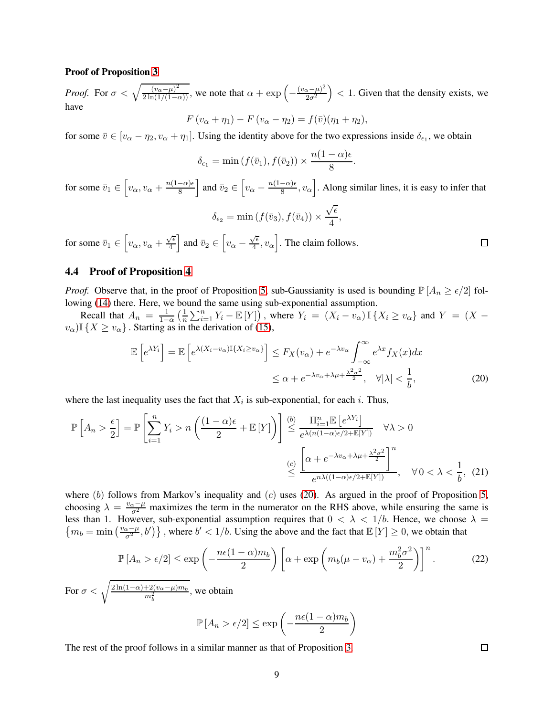#### Proof of Proposition [3](#page-3-3)

*Proof.* For  $\sigma < \sqrt{\frac{(v_{\alpha} - \mu)^2}{2 \ln(1/(1-\alpha))}}$ , we note that  $\alpha + \exp\left(-\frac{(v_{\alpha} - \mu)^2}{2\sigma^2}\right)$  $\left(\frac{x-\mu}{2\sigma^2}\right)$  < 1. Given that the density exists, we have

$$
F(v_{\alpha}+\eta_1)-F(v_{\alpha}-\eta_2)=f(\bar{v})(\eta_1+\eta_2),
$$

for some  $\bar{v} \in [v_{\alpha} - \eta_2, v_{\alpha} + \eta_1]$ . Using the identity above for the two expressions inside  $\delta_{\epsilon_1}$ , we obtain

$$
\delta_{\epsilon_1} = \min\left(f(\bar{v}_1), f(\bar{v}_2)\right) \times \frac{n(1-\alpha)\epsilon}{8}
$$

<span id="page-8-1"></span>.

for some  $\bar{v}_1 \in \left[v_\alpha, v_\alpha + \frac{n(1-\alpha)\epsilon}{8}\right]$  and  $\bar{v}_2 \in \left[v_\alpha - \frac{n(1-\alpha)\epsilon}{8}, v_\alpha\right]$ . Along similar lines, it is easy to infer that  $\delta_{\epsilon_2} = \min(f(\bar{v}_3), f(\bar{v}_4)) \times$  $\sqrt{\epsilon}$  $\frac{1}{4}$ ,

for some  $\bar{v}_1 \in \left[v_\alpha, v_\alpha + \frac{\sqrt{\epsilon}}{4}\right]$  $\frac{\sqrt{\epsilon}}{4}$  and  $\bar{v}_2 \in \left[v_\alpha - \frac{\sqrt{\epsilon}}{4}\right]$  $\left[\frac{\sqrt{\epsilon}}{4}, v_{\alpha}\right]$ . The claim follows.

### <span id="page-8-0"></span>4.4 Proof of Proposition [4](#page-3-4)

*Proof.* Observe that, in the proof of Proposition [5,](#page-5-5) sub-Gaussianity is used is bounding  $\mathbb{P}[A_n \geq \epsilon/2]$  following [\(14\)](#page-6-3) there. Here, we bound the same using sub-exponential assumption.

Recall that  $A_n = \frac{1}{1-n}$  $rac{1}{1-\alpha}$   $\left(\frac{1}{n}\right)$  $\frac{1}{n}\sum_{i=1}^n Y_i - \mathbb{E}[Y]$ , where  $Y_i = (X_i - v_\alpha) \mathbb{I} \{X_i \ge v_\alpha\}$  and  $Y = (X - v_\alpha) \mathbb{I} \{X_i \ge v_\alpha\}$  $v_{\alpha}$ )I { $X \ge v_{\alpha}$ }. Starting as in the derivation of [\(15\)](#page-6-1),

$$
\mathbb{E}\left[e^{\lambda Y_i}\right] = \mathbb{E}\left[e^{\lambda (X_i - v_\alpha)\mathbb{I}\{X_i \ge v_\alpha\}}\right] \le F_X(v_\alpha) + e^{-\lambda v_\alpha} \int_{-\infty}^{\infty} e^{\lambda x} f_X(x) dx
$$
  

$$
\le \alpha + e^{-\lambda v_\alpha + \lambda \mu + \frac{\lambda^2 \sigma^2}{2}}, \quad \forall |\lambda| < \frac{1}{b},
$$
 (20)

where the last inequality uses the fact that  $X_i$  is sub-exponential, for each i. Thus,

$$
\mathbb{P}\left[A_n > \frac{\epsilon}{2}\right] = \mathbb{P}\left[\sum_{i=1}^n Y_i > n\left(\frac{(1-\alpha)\epsilon}{2} + \mathbb{E}\left[Y\right]\right)\right] \stackrel{(b)}{\leq} \frac{\prod_{i=1}^n \mathbb{E}\left[e^{\lambda Y_i}\right]}{e^{\lambda(n(1-\alpha)\epsilon/2 + \mathbb{E}\left[Y\right])}} \quad \forall \lambda > 0
$$
\n
$$
\stackrel{(c)}{\leq} \frac{\left[\alpha + e^{-\lambda v_\alpha + \lambda \mu + \frac{\lambda^2 \sigma^2}{2}}\right]^n}{e^{n\lambda((1-\alpha)\epsilon/2 + \mathbb{E}\left[Y\right])}}, \quad \forall 0 < \lambda < \frac{1}{b}, \tag{21}
$$

where (b) follows from Markov's inequality and (c) uses [\(20\)](#page-8-1). As argued in the proof of Proposition [5,](#page-5-5) choosing  $\lambda = \frac{v_{\alpha} - \mu}{\sigma^2}$  maximizes the term in the numerator on the RHS above, while ensuring the same is less than 1. However, sub-exponential assumption requires that  $0 < \lambda < 1/b$ . Hence, we choose  $\lambda =$  ${m_b = \min\left(\frac{v_\alpha - \mu}{\sigma^2}, b'\right)}$ , where  $b' < 1/b$ . Using the above and the fact that  $\mathbb{E}[Y] \ge 0$ , we obtain that

$$
\mathbb{P}\left[A_n > \epsilon/2\right] \le \exp\left(-\frac{n\epsilon(1-\alpha)m_b}{2}\right) \left[\alpha + \exp\left(m_b(\mu - v_\alpha) + \frac{m_b^2 \sigma^2}{2}\right)\right]^n. \tag{22}
$$

For  $\sigma < \sqrt{\frac{2\ln(1-\alpha)+2(v_\alpha-\mu)m_b}{m_b^2}}$ , we obtain

$$
\mathbb{P}\left[A_n > \epsilon/2\right] \le \exp\left(-\frac{n\epsilon(1-\alpha)m_b}{2}\right)
$$

The rest of the proof follows in a similar manner as that of Proposition [3.](#page-3-3)

 $\Box$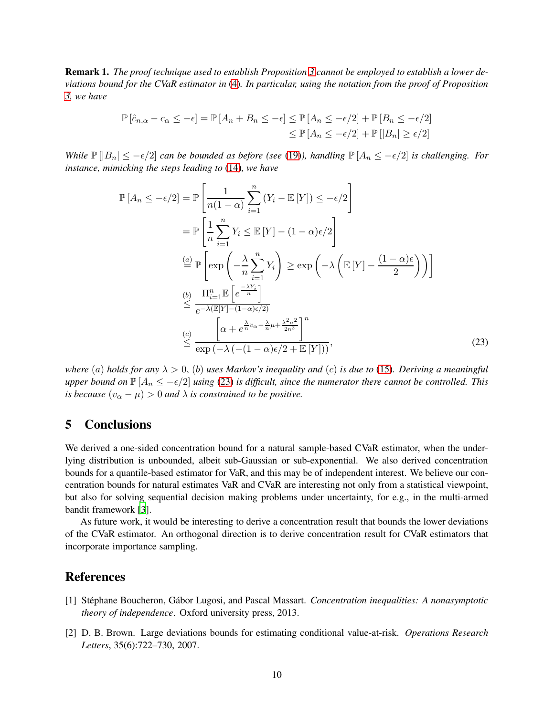Remark 1. *The proof technique used to establish Proposition [3](#page-3-3) cannot be employed to establish a lower deviations bound for the CVaR estimator in* [\(4\)](#page-2-1)*. In particular, using the notation from the proof of Proposition [3,](#page-3-3) we have*

$$
\mathbb{P}\left[\hat{c}_{n,\alpha} - c_{\alpha} \leq -\epsilon\right] = \mathbb{P}\left[A_n + B_n \leq -\epsilon\right] \leq \mathbb{P}\left[A_n \leq -\epsilon/2\right] + \mathbb{P}\left[B_n \leq -\epsilon/2\right] \\
\leq \mathbb{P}\left[A_n \leq -\epsilon/2\right] + \mathbb{P}\left[\left|B_n\right| \geq \epsilon/2\right]
$$

*While*  $\mathbb{P}[|B_n| \leq -\epsilon/2]$  *can be bounded as before (see* [\(19\)](#page-7-1)), *handling*  $\mathbb{P}[A_n \leq -\epsilon/2]$  *is challenging. For instance, mimicking the steps leading to* [\(14\)](#page-6-3)*, we have*

<span id="page-9-3"></span>
$$
\mathbb{P}\left[A_n \le -\epsilon/2\right] = \mathbb{P}\left[\frac{1}{n(1-\alpha)}\sum_{i=1}^n \left(Y_i - \mathbb{E}\left[Y\right]\right) \le -\epsilon/2\right]
$$
\n
$$
= \mathbb{P}\left[\frac{1}{n}\sum_{i=1}^n Y_i \le \mathbb{E}\left[Y\right] - (1-\alpha)\epsilon/2\right]
$$
\n
$$
\stackrel{(a)}{=} \mathbb{P}\left[\exp\left(-\frac{\lambda}{n}\sum_{i=1}^n Y_i\right) \ge \exp\left(-\lambda\left(\mathbb{E}\left[Y\right] - \frac{(1-\alpha)\epsilon}{2}\right)\right)\right]
$$
\n
$$
\stackrel{(b)}{=} \frac{\Pi_{i=1}^n \mathbb{E}\left[e^{\frac{-\lambda Y_i}{n}}\right]}{\epsilon^{-\lambda(\mathbb{E}\left[Y\right] - (1-\alpha)\epsilon/2)}}
$$
\n
$$
\stackrel{(c)}{=} \frac{\left[\alpha + e^{\frac{\lambda}{n}\nu_\alpha - \frac{\lambda}{n}\mu + \frac{\lambda^2\sigma^2}{2n^2}}\right]^n}{\exp\left(-\lambda\left(-(1-\alpha)\epsilon/2 + \mathbb{E}\left[Y\right]\right)\right)},\tag{23}
$$

*where* (a) *holds for any*  $\lambda > 0$ , (b) *uses Markov's inequality and* (c) *is due to* [\(15\)](#page-6-1). *Deriving a meaningful upper bound on*  $\mathbb{P}[A_n \le -\epsilon/2]$  *using* [\(23\)](#page-9-3) *is difficult, since the numerator there cannot be controlled. This is because*  $(v_\alpha - \mu) > 0$  *and*  $\lambda$  *is constrained to be positive.* 

### <span id="page-9-1"></span>5 Conclusions

We derived a one-sided concentration bound for a natural sample-based CVaR estimator, when the underlying distribution is unbounded, albeit sub-Gaussian or sub-exponential. We also derived concentration bounds for a quantile-based estimator for VaR, and this may be of independent interest. We believe our concentration bounds for natural estimates VaR and CVaR are interesting not only from a statistical viewpoint, but also for solving sequential decision making problems under uncertainty, for e.g., in the multi-armed bandit framework [\[3](#page-10-2)].

As future work, it would be interesting to derive a concentration result that bounds the lower deviations of the CVaR estimator. An orthogonal direction is to derive concentration result for CVaR estimators that incorporate importance sampling.

# References

- <span id="page-9-2"></span>[1] Stéphane Boucheron, Gábor Lugosi, and Pascal Massart. *Concentration inequalities: A nonasymptotic theory of independence*. Oxford university press, 2013.
- <span id="page-9-0"></span>[2] D. B. Brown. Large deviations bounds for estimating conditional value-at-risk. *Operations Research Letters*, 35(6):722–730, 2007.